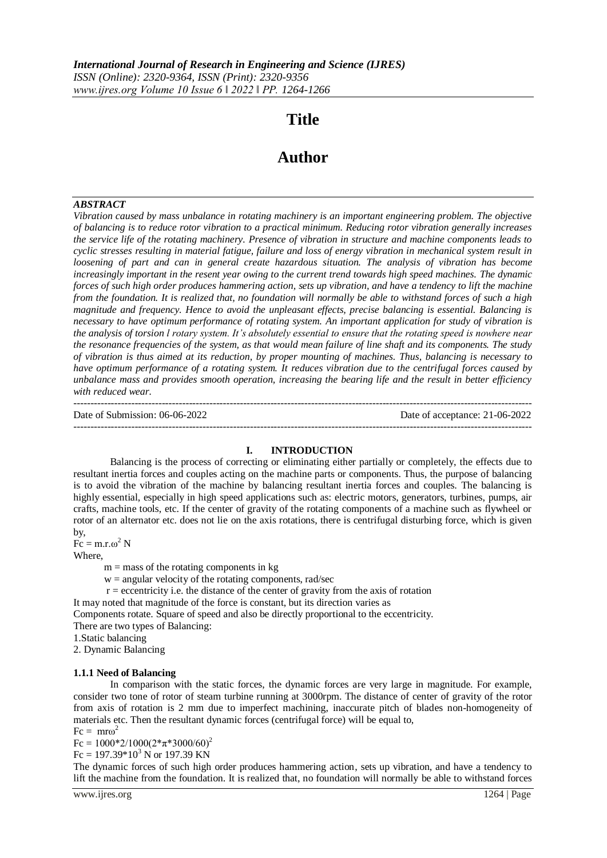# **Title**

# **Author**

## *ABSTRACT*

*Vibration caused by mass unbalance in rotating machinery is an important engineering problem. The objective of balancing is to reduce rotor vibration to a practical minimum. Reducing rotor vibration generally increases the service life of the rotating machinery. Presence of vibration in structure and machine components leads to cyclic stresses resulting in material fatigue, failure and loss of energy vibration in mechanical system result in loosening of part and can in general create hazardous situation. The analysis of vibration has become increasingly important in the resent year owing to the current trend towards high speed machines. The dynamic forces of such high order produces hammering action, sets up vibration, and have a tendency to lift the machine from the foundation. It is realized that, no foundation will normally be able to withstand forces of such a high magnitude and frequency. Hence to avoid the unpleasant effects, precise balancing is essential. Balancing is necessary to have optimum performance of rotating system. An important application for study of vibration is the analysis of torsion l rotary system. It's absolutely essential to ensure that the rotating speed is nowhere near the resonance frequencies of the system, as that would mean failure of line shaft and its components. The study of vibration is thus aimed at its reduction, by proper mounting of machines. Thus, balancing is necessary to have optimum performance of a rotating system. It reduces vibration due to the centrifugal forces caused by unbalance mass and provides smooth operation, increasing the bearing life and the result in better efficiency with reduced wear.*

--------------------------------------------------------------------------------------------------------------------------------------- Date of Submission: 06-06-2022 Date of acceptance: 21-06-2022 ---------------------------------------------------------------------------------------------------------------------------------------

### **I. INTRODUCTION**

Balancing is the process of correcting or eliminating either partially or completely, the effects due to resultant inertia forces and couples acting on the machine parts or components. Thus, the purpose of balancing is to avoid the vibration of the machine by balancing resultant inertia forces and couples. The balancing is highly essential, especially in high speed applications such as: electric motors, generators, turbines, pumps, air crafts, machine tools, etc. If the center of gravity of the rotating components of a machine such as flywheel or rotor of an alternator etc. does not lie on the axis rotations, there is centrifugal disturbing force, which is given by,

 $Fc = m r \omega^2 N$ 

Where,

 $m =$  mass of the rotating components in kg

 $w =$  angular velocity of the rotating components, rad/sec

 $r =$  eccentricity i.e. the distance of the center of gravity from the axis of rotation

It may noted that magnitude of the force is constant, but its direction varies as

Components rotate. Square of speed and also be directly proportional to the eccentricity. There are two types of Balancing:

1.Static balancing

2. Dynamic Balancing

### **1.1.1 Need of Balancing**

In comparison with the static forces, the dynamic forces are very large in magnitude. For example, consider two tone of rotor of steam turbine running at 3000rpm. The distance of center of gravity of the rotor from axis of rotation is 2 mm due to imperfect machining, inaccurate pitch of blades non-homogeneity of materials etc. Then the resultant dynamic forces (centrifugal force) will be equal to,

 $Fc = m\omega^2$ 

 $Fc = 1000*2/1000(2*π*3000/60)<sup>2</sup>$ 

 $Fc = 197.39*10<sup>3</sup> N or 197.39 KN$ 

The dynamic forces of such high order produces hammering action, sets up vibration, and have a tendency to lift the machine from the foundation. It is realized that, no foundation will normally be able to withstand forces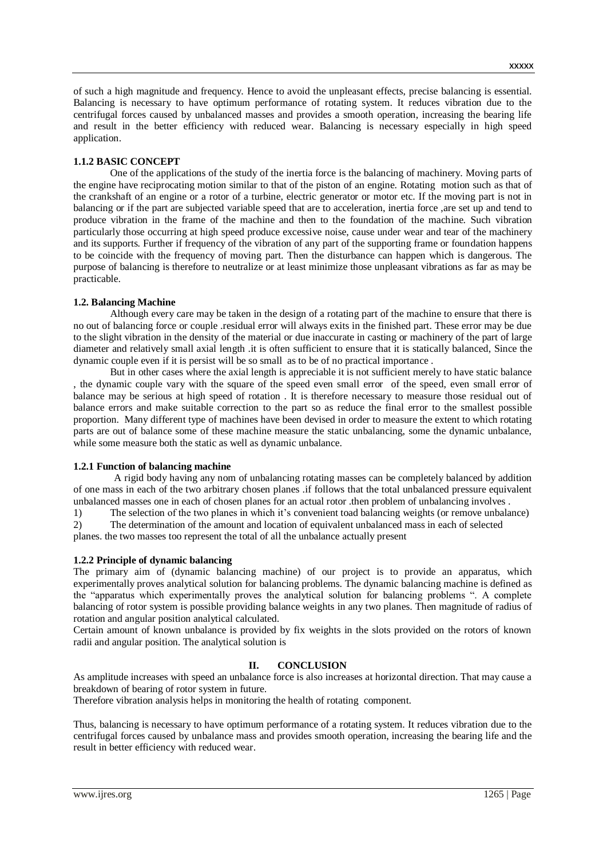of such a high magnitude and frequency. Hence to avoid the unpleasant effects, precise balancing is essential. Balancing is necessary to have optimum performance of rotating system. It reduces vibration due to the centrifugal forces caused by unbalanced masses and provides a smooth operation, increasing the bearing life and result in the better efficiency with reduced wear. Balancing is necessary especially in high speed application.

# **1.1.2 BASIC CONCEPT**

One of the applications of the study of the inertia force is the balancing of machinery. Moving parts of the engine have reciprocating motion similar to that of the piston of an engine. Rotating motion such as that of the crankshaft of an engine or a rotor of a turbine, electric generator or motor etc. If the moving part is not in balancing or if the part are subjected variable speed that are to acceleration, inertia force ,are set up and tend to produce vibration in the frame of the machine and then to the foundation of the machine. Such vibration particularly those occurring at high speed produce excessive noise, cause under wear and tear of the machinery and its supports. Further if frequency of the vibration of any part of the supporting frame or foundation happens to be coincide with the frequency of moving part. Then the disturbance can happen which is dangerous. The purpose of balancing is therefore to neutralize or at least minimize those unpleasant vibrations as far as may be practicable.

### **1.2. Balancing Machine**

Although every care may be taken in the design of a rotating part of the machine to ensure that there is no out of balancing force or couple .residual error will always exits in the finished part. These error may be due to the slight vibration in the density of the material or due inaccurate in casting or machinery of the part of large diameter and relatively small axial length .it is often sufficient to ensure that it is statically balanced, Since the dynamic couple even if it is persist will be so small as to be of no practical importance .

But in other cases where the axial length is appreciable it is not sufficient merely to have static balance , the dynamic couple vary with the square of the speed even small error of the speed, even small error of balance may be serious at high speed of rotation . It is therefore necessary to measure those residual out of balance errors and make suitable correction to the part so as reduce the final error to the smallest possible proportion. Many different type of machines have been devised in order to measure the extent to which rotating parts are out of balance some of these machine measure the static unbalancing, some the dynamic unbalance, while some measure both the static as well as dynamic unbalance.

# **1.2.1 Function of balancing machine**

 A rigid body having any nom of unbalancing rotating masses can be completely balanced by addition of one mass in each of the two arbitrary chosen planes .if follows that the total unbalanced pressure equivalent unbalanced masses one in each of chosen planes for an actual rotor .then problem of unbalancing involves .

1) The selection of the two planes in which it's convenient toad balancing weights (or remove unbalance)

2) The determination of the amount and location of equivalent unbalanced mass in each of selected

planes. the two masses too represent the total of all the unbalance actually present

### **1.2.2 Principle of dynamic balancing**

The primary aim of (dynamic balancing machine) of our project is to provide an apparatus, which experimentally proves analytical solution for balancing problems. The dynamic balancing machine is defined as the "apparatus which experimentally proves the analytical solution for balancing problems ". A complete balancing of rotor system is possible providing balance weights in any two planes. Then magnitude of radius of rotation and angular position analytical calculated.

Certain amount of known unbalance is provided by fix weights in the slots provided on the rotors of known radii and angular position. The analytical solution is

### **II. CONCLUSION**

As amplitude increases with speed an unbalance force is also increases at horizontal direction. That may cause a breakdown of bearing of rotor system in future.

Therefore vibration analysis helps in monitoring the health of rotating component.

Thus, balancing is necessary to have optimum performance of a rotating system. It reduces vibration due to the centrifugal forces caused by unbalance mass and provides smooth operation, increasing the bearing life and the result in better efficiency with reduced wear.